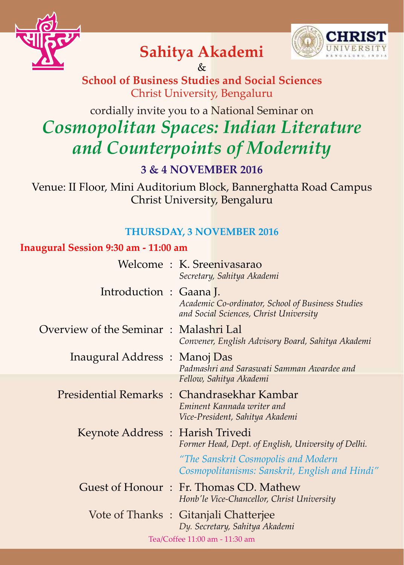



# **Sahitya Akademi**

**School of Business Studies and Social Sciences** Christ University, Bengaluru &

# cordially invite you to a National Seminar on *Cosmopolitan Spaces: Indian Literature and Counterpoints of Modernity*

# **3 & 4 NOVEMBER 2016**

Venue: II Floor, Mini Auditorium Block, Bannerghatta Road Campus Christ University, Bengaluru

# **THURSDAY, 3 NOVEMBER 2016**

## **Inaugural Session 9:30 am - 11:00 am**

|                                            |  | Welcome: K. Sreenivasarao<br>Secretary, Sahitya Akademi                                                                                      |  |
|--------------------------------------------|--|----------------------------------------------------------------------------------------------------------------------------------------------|--|
| Introduction: Gaana J.                     |  | Academic Co-ordinator, School of Business Studies<br>and Social Sciences, Christ University                                                  |  |
| Overview of the Seminar : Malashri Lal     |  | Convener, English Advisory Board, Sahitya Akademi                                                                                            |  |
| Inaugural Address: Manoj Das               |  | Padmashri and Saraswati Samman Awardee and<br>Fellow, Sahitya Akademi                                                                        |  |
| Presidential Remarks: Chandrasekhar Kambar |  | Eminent Kannada writer and<br>Vice-President, Sahitya Akademi                                                                                |  |
| Keynote Address: Harish Trivedi            |  | Former Head, Dept. of English, University of Delhi.<br>"The Sanskrit Cosmopolis and Modern<br>Cosmopolitanisms: Sanskrit, English and Hindi" |  |
|                                            |  | Guest of Honour : Fr. Thomas CD. Mathew<br>Honb'le Vice-Chancellor, Christ University                                                        |  |
| Vote of Thanks: Gitanjali Chatterjee       |  | Dy. Secretary, Sahitya Akademi                                                                                                               |  |
| Tea/Coffee 11:00 am - 11:30 am             |  |                                                                                                                                              |  |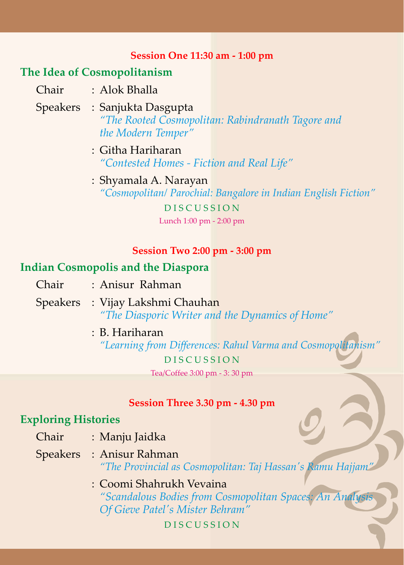#### **Session One 11:30 am - 1:00 pm**

# **The Idea of Cosmopolitanism**

- Chair : Alok Bhalla
	- Speakers : Sanjukta Dasgupta *"The Rooted Cosmopolitan: Rabindranath Tagore and the Modern Temper"*
		- : Githa Hariharan *"Contested Homes - Fiction and Real Life"*
		- D I S C U S S I O N : Shyamala A. Narayan *"Cosmopolitan/ Parochial: Bangalore in Indian English Fiction"*

Lunch 1:00 pm - 2:00 pm

#### **Session Two 2:00 pm - 3:00 pm**

## **Indian Cosmopolis and the Diaspora**

- Chair : Anisur Rahman
- Speakers : Vijay Lakshmi Chauhan *"The Diasporic Writer and the Dynamics of Home"*
	- D I S C U S S I O N : B. Hariharan Tea/Coffee 3:00 pm - 3: 30 pm *"Learning from Differences: Rahul Varma and Cosmopolitanism"*

#### **Session Three 3.30 pm - 4.30 pm**

### **Exploring Histories**

- Chair : Manju Jaidka
- Speakers : Anisur Rahman *"The Provincial as Cosmopolitan: Taj Hassan's Ramu Hajjam"*
	- : Coomi Shahrukh Vevaina *"Scandalous Bodies from Cosmopolitan Spaces: An Analysis Of Gieve Patel's Mister Behram"*

D I S C U S S I O N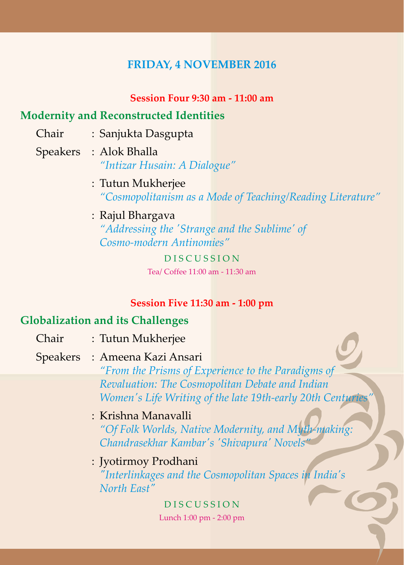## **FRIDAY, 4 NOVEMBER 2016**

#### **Session Four 9:30 am - 11:00 am**

## **Modernity and Reconstructed Identities**

- Chair : Sanjukta Dasgupta
- *"Intizar Husain: A Dialogue"* Speakers : Alok Bhalla
	- *"Cosmopolitanism as a Mode of Teaching/Reading Literature"* : Tutun Mukherjee

## : Rajul Bhargava

*"Addressing the 'Strange and the Sublime' of Cosmo-modern Antinomies"*

> D I S C U S S I O N Tea/ Coffee 11:00 am - 11:30 am

#### **Session Five 11:30 am - 1:00 pm**

# **Globalization and its Challenges**

- Chair : Tutun Mukherjee
- Speakers : Ameena Kazi Ansari

*"From the Prisms of Experience to the Paradigms of Revaluation: The Cosmopolitan Debate and Indian Women's Life Writing of the late 19th-early 20th Centuries* 

- *"Of Folk Worlds, Native Modernity, and Myth-making: Chandrasekhar Kambar's 'Shivapura' Novels"* : Krishna Manavalli
- *"Interlinkages and the Cosmopolitan Spaces in India's North East"* : Jyotirmoy Prodhani

### D I S C U S S I O N Lunch 1:00 pm - 2:00 pm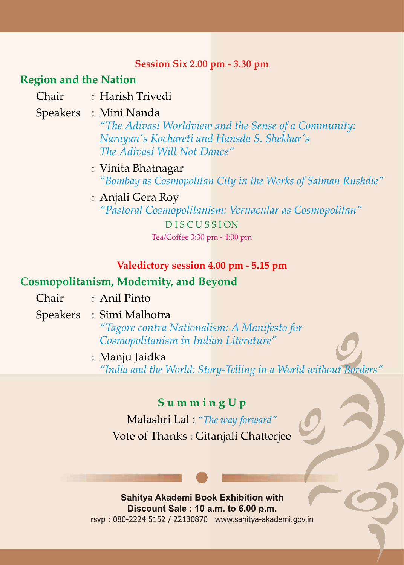#### **Session Six 2.00 pm - 3.30 pm**

#### **Region and the Nation**

Chair : Harish Trivedi

## Speakers : Mini Nanda

*"The Adivasi Worldview and the Sense of a Community: Narayan's Kochareti and Hansda S. Shekhar's The Adivasi Will Not Dance"*

- : Vinita Bhatnagar *"Bombay as Cosmopolitan City in the Works of Salman Rushdie"*
- : Anjali Gera Roy *"Pastoral Cosmopolitanism: Vernacular as Cosmopolitan"*

D I S C U S S I ON Tea/Coffee 3:30 pm - 4:00 pm

#### **Valedictory session 4.00 pm - 5.15 pm**

### **Cosmopolitanism, Modernity, and Beyond**

- Chair : Anil Pinto
- Speakers : Simi Malhotra

*"Tagore contra Nationalism: A Manifesto for Cosmopolitanism in Indian Literature"*

: Manju Jaidka *"India and the World: Story-Telling in a World without Borders"*

# **S u m m i n g U p**

Malashri Lal : *"The way forward"* Vote of Thanks : Gitanjali Chatterjee

rsvp : 080-2224 5152 / 22130870 www.sahitya-akademi.gov.in **Sahitya Akademi Book Exhibition with Discount Sale : 10 a.m. to 6.00 p.m.**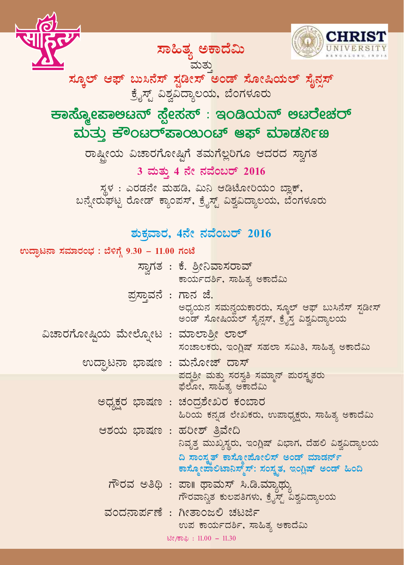



ಸ್ಕೂಲ್ ಆಫ್ ಬುಸಿನೆಸ್ ಸ್ಟಡೀಸ್ ಅಂಡ್ ಸೋಷಿಯಲ್ ಸೈನ್ಸಸ್ ಮತ್ತು ್ಕೈಸ್ಟ್ ವಿಶ್ವವಿದ್ಯಾಲಯ, ಬೆಂಗಳೂರು

ಸಾಹಿತ್ಯ ಅಕಾದೆಮಿ

 $\rightarrow$ ಹಾಸ್ಶೋಪಾಅಟನ್ ಸ್ಪೇಸಸ್ : ಇಂಡಿಯನ್ ಅಟರೇಚರ್ <u>ಮತು</u> ಕೌಂಟರ್**ಪಾಯಿಂಟ್ ಆಫ್ ಮಾಡರ್ನಿ**ಣ

ರಾಷ್ಟೀಯ ವಿಚಾರಗೋಷ್ಠಿಗೆ ತಮ<mark>ಗೆಲ್ಲರಿಗೂ ಆದರದ ಸ್ರಾಗತ</mark>

3 ಮತ್ತು 4 ನೇ ನವೆಂಬರ್ 2016

 $\bar{x}$ ಳ : ಎರಡನೇ ಮಹಡಿ, ಮಿನಿ ಆಡಿಟೋರಿಯಂ ಬ್ಲಾಕ್, ಖನ್ನೇರುಘಟ್ಟ ರೋಡ್ ಕ್ವಾಂಪಸ್, ಕ್ವೈಸ್ಟ್ ವಿಶ್ವವಿದ್ಯಾಲಯ, ಬೆಂಗಳೂರು

# ಶುಕ್ತವಾರ, 4ನೇ ನವೆಂಬರ್ 2016

| ಉದ್ಘಾಟನಾ ಸಮಾರಂಭ : ಬೆಳಿಗ್ಗೆ 9.30 – 11.00 ಗಂಟೆ |                                                                                                |
|----------------------------------------------|------------------------------------------------------------------------------------------------|
|                                              | ಸ್ವಾಗತ : ಕೆ. ಶ್ರೀನಿವಾಸರಾವ್<br>ಕಾರ್ಯದರ್ಶಿ, ಸಾಹಿತ್ಯ ಅಕಾದೆಮಿ                                      |
| ಪ್ರಸ್ತಾವನೆ : ಗಾನ ಜೆ.                         | ಅಧ್ಯಯನ ಸಮನ್ವಯಕಾರರು, ಸ್ಕೂಲ್ ಆಫ್ ಬುಸಿನೆಸ್ ಸ್ಪಡೀಸ್<br>ಅಂಡ್ ಸೋಷಿಯಲ್ ಸೈನ್ಷಸ್, ಕ್ರೈಸ್ತ ವಿಶ್ವವಿದ್ಯಾಲಯ |
| ವಿಚಾರಗೋಷ್ಣಿಯ ಮೇಲ್ನೋಟ : ಮಾಲಾಶ್ರೀ ಲಾಲ್         |                                                                                                |
|                                              | ಸಂಚಾಲಕರು, ಇಂಗ್ಲಿಷ್ ಸಹಲಾ ಸಮಿತಿ, ಸಾಹಿತ್ಯ ಅಕಾದೆಮಿ                                                 |
| <u>ಉದ್ಘಾಟನಾ ಭಾಷಣ : ಮನೋಜ್ ದಾಸ್</u>            |                                                                                                |
|                                              | ಪದ್ದಶ್ರೀ ಮತ್ತು ಸರಸ್ವತಿ ಸಮ್ಮಾನ್ ಮರಸ್ತೃತರು<br>ಫೆಲೋ, ಸಾಹಿತ್ಯ ಅಕಾದೆಮಿ                              |
|                                              | ಅಧ್ಯಕ್ಷರ ಭಾಷಣ : ಚಂದ್ರಶೇಖರ ಕಂಬಾರ<br>ಹಿರಿಯ ಕನ್ನಡ ಲೇಖಕರು, ಉಪಾಧ್ಯಕ್ಷರು, ಸಾಹಿತ್ಯ ಅಕಾದೆಮಿ            |
| ಆಶಯ ಭಾಷಣ : ಹರೀಶ್ ತ್ರಿವೇದಿ                    | ನಿವೃತ್ತ ಮುಖ್ಯಸ್ಥರು, ಇಂಗ್ಲಿಷ್ ವಿಭಾಗ, ದೆಹಲಿ ವಿಶ್ವವಿದ್ಯಾಲಯ                                        |
|                                              | ದಿ ಸಾಂಸ್ವತ್ ಕಾಸ್ಮೋಪೋಲಿಸ್ ಅಂಡ್ ಮಾಡರ್ನ್<br>ಕಾಸ್ಮೋಪಾಲಿಟಾನಿಸ್ಮ್ಸ್, ಸಂಸ್ಕೃತ, ಇಂಗ್ಲಿಷ್ ಅಂಡ್ ಹಿಂದಿ    |
|                                              | ಗೌರವ ಅತಿಥಿ : ಪಾ॥ ಥಾಮಸ್ ಸಿ.ಡಿ.ಮ್ಯಾಥ್ಸು<br>ಗೌರವಾನ್ವಿತ ಕುಲಪತಿಗಳು, ಕ್ರೈಸ್ಟ್ ವಿಶ್ವವಿದ್ಯಾಲಯ          |
|                                              | ವಂದನಾರ್ಪಣೆ : ಗೀತಾಂಜಲಿ ಚಟರ್ಜಿ<br>ಉಪ ಕಾರ್ಯದರ್ಶಿ, ಸಾಹಿತ್ಯ ಅಕಾದೆಮಿ                                 |
|                                              | ಟೀ/ಕಾಫಿ: $11.00 - 11.30$                                                                       |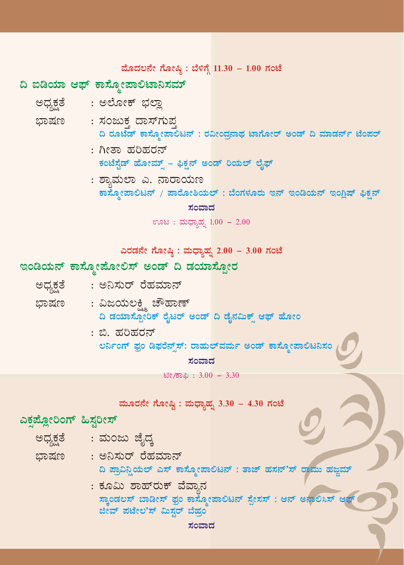#### ಮೊದಲನೇ ಗೋಷ್ಠಿ: ಬೆಳಿಗ್ಗೆ 11.30 - 1.00 ಗಂಟೆ

# ದಿ ಐಡಿಯಾ ಆಫ್ ಕಾಸ್ಮೋಪಾಲಿಟಾನಿಸಮ್

- ಅಧ್ಯಕ್ಷತೆ : ಅಲೋಕ್ ಭಲ್ಲಾ
- ಭಾಷಣ : ಸಂಜುಕ್ತ ದಾಸ್*ಗು*ಪ್ರ ದಿ ರೂಟೆಡ್ ಕಾಸ್ತೋಪಾಲಟನ್ : ರವೀಂದ್ರನಾಥ ಟಾಗೋರ್ ಅಂಡ್ ದಿ ಮಾಡರ್ನ್ ಟೆಂಪರ್
	- : ಗೀತಾ ಹರಿಹರನ್ ಕಂಟೆಸ್ವೆಡ್ ಹೋಮ್ಸ್ - ಫಿಕ್ಷನ್ ಅಂಡ್ ರಿಯಲ್ ಲೈಫ್
	- : ಶ್ಯಾಮಲಾ ಎ. ನಾರಾಯಣ ಕಾಸ್ನೋಪಾಲಿಟನ್ / ಪಾರೋಶಿಯಲ್ : ಬೆಂಗಳೂರು ಇನ್ ಇಂಡಿಯನ್ ಇಂಗ್ಷಿಷ್ ಫಿಕ್ಷನ್

#### ಸಂವಾದ

ಊಟ : ಮಧ್ಯಾಹ್ನ 1.00 - 2.00

ಎರಡನೇ ಗೋಷ್ಠಿ: ಮಧ್ಯಾಹೃ 2.00 - 3.00 ಗಂಟೆ

### ಇಂಡಿಯನ್ ಕಾಸ್ನೋಪೋಲಿಸ್ ಅಂಡ್ ದಿ ಡಯಾಸ್ಪೋರ

| ಅಧ್ಯಕ್ಷತೆ |  | : ಅನಿಸುರ್ ರೆಹಮಾನ್ |  |  |  |
|-----------|--|-------------------|--|--|--|
|-----------|--|-------------------|--|--|--|

- : ವಿಜಯಲಕ್ಷ್ಮಿ ಚೌಹಾಣ್ ಭಾಷಣ ದಿ ಡಯಾಸ್ಪೋರಿಕ್ ರೈಟರ್ ಅಂಡ್ ದಿ ಡೈನಮಿಕ್ಸ್ ಆಫ್ ಹೋಂ
	- : ಬಿ. ಹರಿಹರನ್ ಲರ್ನಿಂಗ್ ಫ್ರಂ ಡಿಫರೆನ್ಸ್ಸ್: ರಾಹುಲ್**ವರ್ಮ ಅಂಡ್ ಕಾಸ್ಮೋಪಾಲಿಟನಿಸ**

ಸಂವಾದ

ಟೀ/ಕಾಫಿ: 3.00 - 3.30

|                         | ಮೂರನೇ ಗೋಷ್ಠಿ : ಮಧ್ಯಾಹ್ನ 3.30 – 4.30 ಗಂಟೆ                        |
|-------------------------|-----------------------------------------------------------------|
| ುಕ್ಸಪ್ಲೋರಿಂಗ್ ಹಿಸ್ಟರೀಸ್ |                                                                 |
| ಅಧ್ಯಕ್ಷತೆ               | : ಮಂಜು ಜೈದ್ಕ                                                    |
| ಭಾಷಣ                    | : ಅನಿಸುರ್ ರೆಹಮಾನ್                                               |
|                         | ದಿ ಪ್ರಾವಿನ್ಷಿಯಲ್ ಎಸ್ ಕಾಸ್ನೋಪಾಲಿಟನ್ : ತಾಜ್ ಹಸನ್'ಸ್ ರಾಮು ಹಜ್ಜಮ್   |
|                         | : ಕೂಮಿ ಶಾಹ್ರಕ್ ವೆವ್ಯಾನ                                          |
|                         | ಸ್ಕಾಂಡಲಸ್ ಬಾಡೀಸ್ ಫ್ರಂ ಕಾಸ್ಮೋಪಾಲಿಟನ್ ಸ್ಪೇಸಸ್ : ಆನ್ ಅನಾಲಿಸಿಸ್ ಆಫ್ |
|                         | ಜೀವ್ ಪಟೇಲ'ಸ್ ಮಿಸ್ಟರ್ ಬೆಹ್ರಂ                                     |
|                         | ಸಂವಾದ                                                           |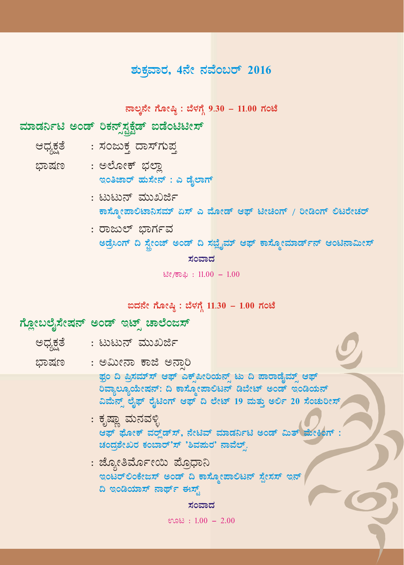# ಶುಕ್ರವಾರ, 4ನೇ ನವೆಂಬರ್ 2016

ನಾಲ್ತನೇ ಗೋಷ್ಠಿ: ಬೆಳಗ್ಗೆ 9.30 - 11.00 ಗಂಟೆ

## ಮಾಡರ್ನಿಟಿ ಅಂಡ್ ರಿಕನ್ಸ್**ಸ್ಪಕ್ಷೆಡ್ ಐಡೆಂಟಿಟೀಸ್**

- ಆಧ್ಯಕ್ಷತೆ : ಸಂಜುಕ್ತ ದಾಸ್ಗುಪ್ತ
- ಭಾಷಣ : ಅಲೋಕ್ ಭಲ್ಲಾ ಇಂತಿಜಾರ್ ಹುಸೇನ್ : ಎ ಡೈಲಾಗ್
	- : ಟುಟುನ್ ಮುಖರ್ಜಿ ಕಾಸ್ಮೋಪಾಲಿಟಾನಿಸಮ್ ಏಸ್ ಎ ಮೋಡ್ ಆಫ್ ಟೀಚಿಂಗ್ / ರೀಡಿಂಗ್ ಲಿಟರೇಚರ್
	- : ರಾಜುಲ್ ಭಾರ್ಗವ

ಅಡ್ರೆಸಿಂಗ್ ದಿ ಸ್ಟೇಂಜ್ ಅಂಡ್ ದಿ ಸಜ್ಷೈಮ್ ಆಫ್ ಕಾಸ್ಮೋಮಾರ್ಡ್**ನ್ ಆಂಟಿನಾಮೀಸ್** 

ಸಂವಾದ

ಟೀ/ಕಾಫಿ: 11.00 - 1.00

ಐದನೇ ಗೋಷ್ಠಿ: ಬೆಳಗ್ಗೆ 11.30 - 1.00 ಗಂಟೆ

## ಗ್ಲೋಬಲೈಸೇಷನ್ ಅಂಡ್ ಇಟ್ಸ್ ಚಾಲೆಂಜಸ್

| ಅಧ್ಯಕ್ಷತೆ | : ಟುಟುನ್ ಮುಖರ್ಜಿ                                                                                                                                                                                                                                                                                            |
|-----------|-------------------------------------------------------------------------------------------------------------------------------------------------------------------------------------------------------------------------------------------------------------------------------------------------------------|
| ಭಾಷಣ      | : ಅಮೀನಾ ಕಾಜಿ ಅನಾರಿ                                                                                                                                                                                                                                                                                          |
|           | ಫ್ರಂ ದಿ ಪ್ರಿಸಮ್ಸ್ ಆಫ್ ಎಕ್ಸ್ಪೇರಿಯನ್ಸ್ ಟು ದಿ ಪಾರಾಡೈಮ್ಸ್ ಆಫ್<br>ರಿವ್ಯಾಲ್ಯೂಯೇಷನ್: ದಿ ಕಾಸ್ನೋಪಾಲಿಟನ್ ಡಿಬೇಟ್ ಅಂಡ್ ಇಂಡಿಯನ್<br>ವಿಮೆನ್ಸ್ ಲೈಫ್ ರೈಟಿಂಗ್ ಆಫ್ ದಿ ಲೇಟ್ 19 ಮತ್ತು ಅರ್ಲಿ 20 ಸೆಂಚುರೀಸ್<br>: ಕೃಷ್ಣಾ ಮನವಳ್ಳಿ<br>ಆಫ್ ಫೋಕ್ ವರ್ರ್ಡ್ ಸ್, ನೇಟಿವ್ ಮಾಡರ್ನಿಟಿ ಅಂಡ್ ಮಿತ್ ಮೇಕಿಂಗ್ :<br>ಚಂದ್ರಶೇಖರ ಕಂಬಾರ್'ಸ್ 'ಶಿವಮರ' ನಾವೆಲ್. |
|           | : ಜ್ಯೋತಿರ್ಮೋಯಿ ಪ್ರೊಧಾನಿ<br>ಇಂಟರ್ಲಿಂಕೇಜಸ್ ಅಂಡ್ ದಿ ಕಾಸ್ಮೋಪಾಲಿಟನ್ ಸ್ಪೇಸಸ್ ಇನ್<br>ದಿ ಇಂಡಿಯಾಸ್ ನಾರ್ಥ್ ಈಸ್ಟ್<br>ಸ೧ವಾಗ                                                                                                                                                                                             |

 $ens: 1.00 - 2.00$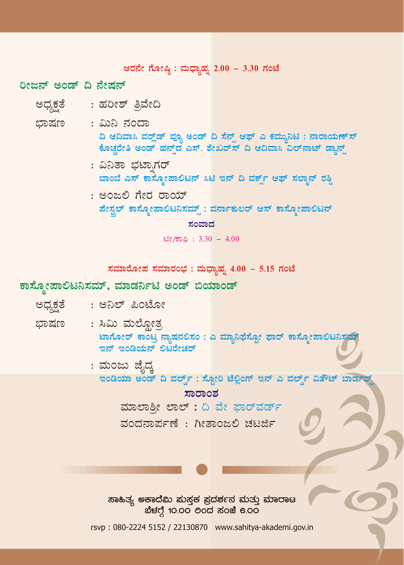ಆರನೇ ಗೋಷ್ಠಿ: ಮಧ್ಯಾಹೃ 2.00 - 3.30 ಗಂಟೆ

ರೀಜನ್ ಅಂಡ್ ದಿ ನೇಷನ್

- ಅಧ್ಯಕ್ಷತೆ : ಹರೀಶ್ ತಿವೇದಿ
- ಭಾಷಣ : ಮಿನಿ ನಂದಾ ದಿ ಆದಿವಾಸಿ ವರ್ಲ್ಲೆಡ್ ವ್ಯೂ ಅಂಡ್ ದಿ ಸೆನ್ಸ್ ಆಫ್ ಎ ಕಮ್ಯುನಿಟಿ : ನಾರಾಯಣ್ ಸ್ ಕೊಚ್ಚರೇತಿ ಅಂಡ್ ಹನ್ವ್ ಎಸ್. ಶೇಖರ್ಸ್ ದಿ ಆದಿವಾಸಿ ವಿಲ್ನಾಟ್ ಡ್ಯಾನ್ಸ್
	- : ವಿನಿತಾ ಭಟಾ,ಗರ್ ಬಾಂಬೆ ಎಸ್ ಕಾಸ್ಮೋಪಾಲಿಟನ್ ಸಿಟಿ ಇನ್ ದಿ ವರ್ಕ್ಸ್ ಆಫ್ ಸಲ್ಮಾನ್ ರಶ್ದಿ
	- : ಅಂಜಲಿ ಗೇರ ರಾಯ್ ಪೇಸ್ಟಲ್ ಕಾಸ್ಮೋಪಾಲಿಟನಿಸಮ್ಸ್: ವರ್ನಾಕುಲರ್ ಆಸ್ ಕಾಸ್ಮೋಪಾಲಿಟನ್

#### ಸಂವಾದ

ಟೀ/ಕಾಫಿ:  $3.30 - 4.00$ 

ಸಮಾರೋಪ ಸಮಾರಂಭ : ಮಧ್ಯಾಹ್ನ  $4.00 - 5.15$  ಗಂಟೆ

#### ಕಾಸ್ತೋಪಾಲಿಟನಿಸಮ್, ಮಾಡರ್ನಿಟಿ ಅಂಡ್ ಬಿಯಾಂಡ್

- : ಅನಿಲ್ ಪಿಂಟೋ ಅಧ್ಯಕ್ಷತೆ
- : ಸಿಮಿ ಮಲೋತ್ಸ ಭಾಷಣ ಟಾಗೋರ್ ಕಾಂಟ್ರ ನ್ನಾಷನಲಿಸಂ : ಎ ಮ್ಯಾನಿಫೆಸ್ಟೋ ಫಾರ್ ಕಾಸ್ಕೋಪಾಲಿಟನಿಸ ಇನ್ ಇಂಡಿಯನ್ ಲಿಟರೇಚರ್
	- : ಮಂಜು ಜೈದ್ತ ಇಂಡಿಯಾ ಅಂಡ್ ದಿ ವರ್ಲ್ಸ್ : ಸೋರಿ ಟೆಲಿಂಗ್ ಇನ್ ಎ ವರ್ಲ್ಸ್ ವಿತೌಟ್ ಬಾರ್ಡರ್

#### ಸಾರಾಂಶ

ಮಾಲಾಶೀ ಲಾಲ್: ದಿ ವೇ ಫಾರ್ವರ್ಡ್

ವಂದನಾರ್ಪಣೆ : ಗೀತಾಂಜಲಿ ಚಟರ್ಜಿ

ಸಾಹಿತ್ಯ ಅಕಾದೆಮಿ ಮಸ್ತಕ ಪ್ರದರ್ಶನ ಮತ್ತು ಮಾರಾಟ ಬೆಳಗ್ಗೆ 10.00 ರಿಂದ ಸಂಜೆ 6.00

rsvp: 080-2224 5152 / 22130870 www.sahitya-akademi.gov.in